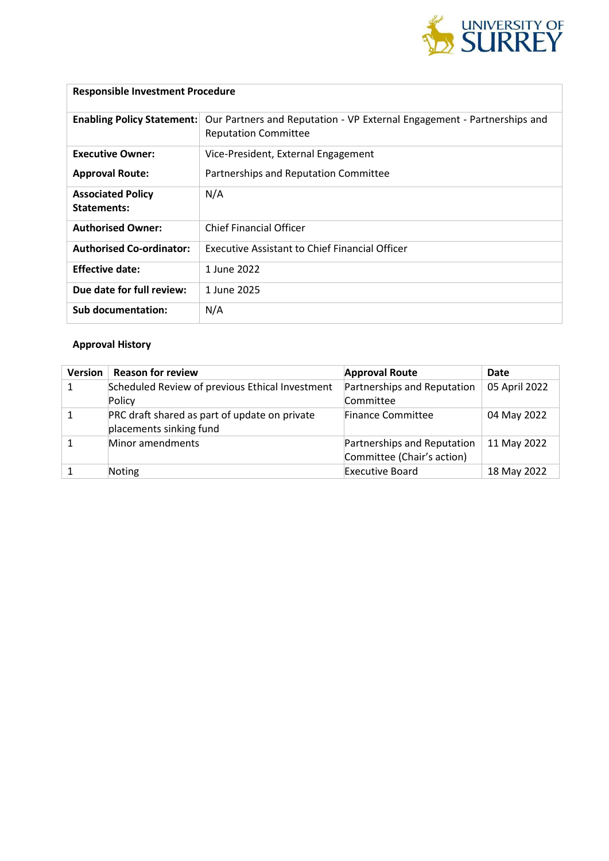

# **Responsible Investment Procedure**

| <b>Enabling Policy Statement:</b>              | Our Partners and Reputation - VP External Engagement - Partnerships and<br><b>Reputation Committee</b> |
|------------------------------------------------|--------------------------------------------------------------------------------------------------------|
| <b>Executive Owner:</b>                        | Vice-President, External Engagement                                                                    |
| <b>Approval Route:</b>                         | Partnerships and Reputation Committee                                                                  |
| <b>Associated Policy</b><br><b>Statements:</b> | N/A                                                                                                    |
| <b>Authorised Owner:</b>                       | <b>Chief Financial Officer</b>                                                                         |
| <b>Authorised Co-ordinator:</b>                | <b>Executive Assistant to Chief Financial Officer</b>                                                  |
| <b>Effective date:</b>                         | 1 June 2022                                                                                            |
| Due date for full review:                      | 1 June 2025                                                                                            |
| Sub documentation:                             | N/A                                                                                                    |

## **Approval History**

| <b>Version</b> | <b>Reason for review</b>                                                 | <b>Approval Route</b>                                     | Date          |
|----------------|--------------------------------------------------------------------------|-----------------------------------------------------------|---------------|
| 1              | Scheduled Review of previous Ethical Investment<br>Policy                | Partnerships and Reputation<br>Committee                  | 05 April 2022 |
|                | PRC draft shared as part of update on private<br>placements sinking fund | <b>Finance Committee</b>                                  | 04 May 2022   |
|                | Minor amendments                                                         | Partnerships and Reputation<br>Committee (Chair's action) | 11 May 2022   |
|                | Noting                                                                   | <b>Executive Board</b>                                    | 18 May 2022   |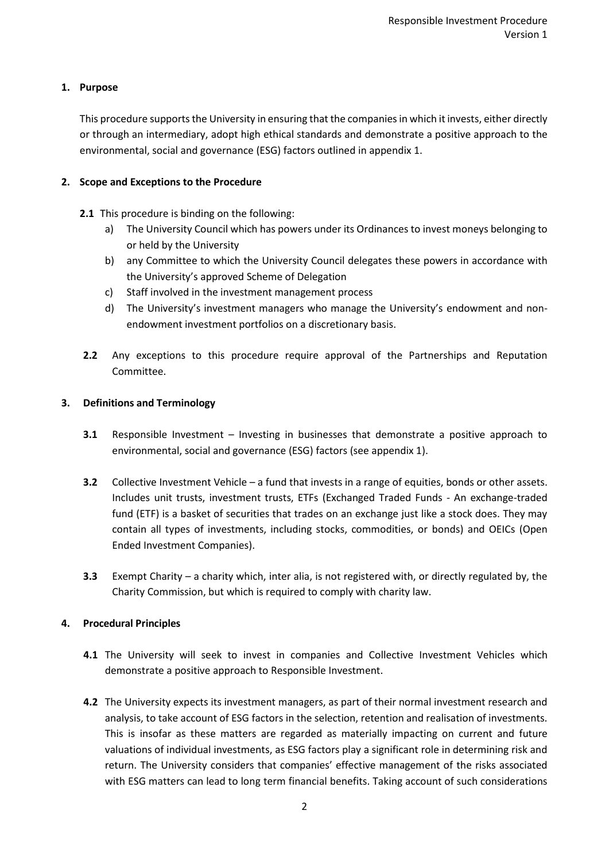### **1. Purpose**

This procedure supports the University in ensuring that the companies in which it invests, either directly or through an intermediary, adopt high ethical standards and demonstrate a positive approach to the environmental, social and governance (ESG) factors outlined in appendix 1.

### **2. Scope and Exceptions to the Procedure**

- **2.1** This procedure is binding on the following:
	- a) The University Council which has powers under its Ordinances to invest moneys belonging to or held by the University
	- b) any Committee to which the University Council delegates these powers in accordance with the University's approved Scheme of Delegation
	- c) Staff involved in the investment management process
	- d) The University's investment managers who manage the University's endowment and nonendowment investment portfolios on a discretionary basis.
- **2.2** Any exceptions to this procedure require approval of the Partnerships and Reputation Committee.

### **3. Definitions and Terminology**

- **3.1** Responsible Investment Investing in businesses that demonstrate a positive approach to environmental, social and governance (ESG) factors (see appendix 1).
- **3.2** Collective Investment Vehicle a fund that invests in a range of equities, bonds or other assets. Includes unit trusts, investment trusts, ETFs (Exchanged Traded Funds - An exchange-traded fund (ETF) is a basket of securities that trades on an exchange just like a stock does. They may contain all types of investments, including stocks, commodities, or bonds) and OEICs (Open Ended Investment Companies).
- **3.3** Exempt Charity a charity which, inter alia, is not registered with, or directly regulated by, the Charity Commission, but which is required to comply with charity law.

### **4. Procedural Principles**

- **4.1** The University will seek to invest in companies and Collective Investment Vehicles which demonstrate a positive approach to Responsible Investment.
- **4.2** The University expects its investment managers, as part of their normal investment research and analysis, to take account of ESG factors in the selection, retention and realisation of investments. This is insofar as these matters are regarded as materially impacting on current and future valuations of individual investments, as ESG factors play a significant role in determining risk and return. The University considers that companies' effective management of the risks associated with ESG matters can lead to long term financial benefits. Taking account of such considerations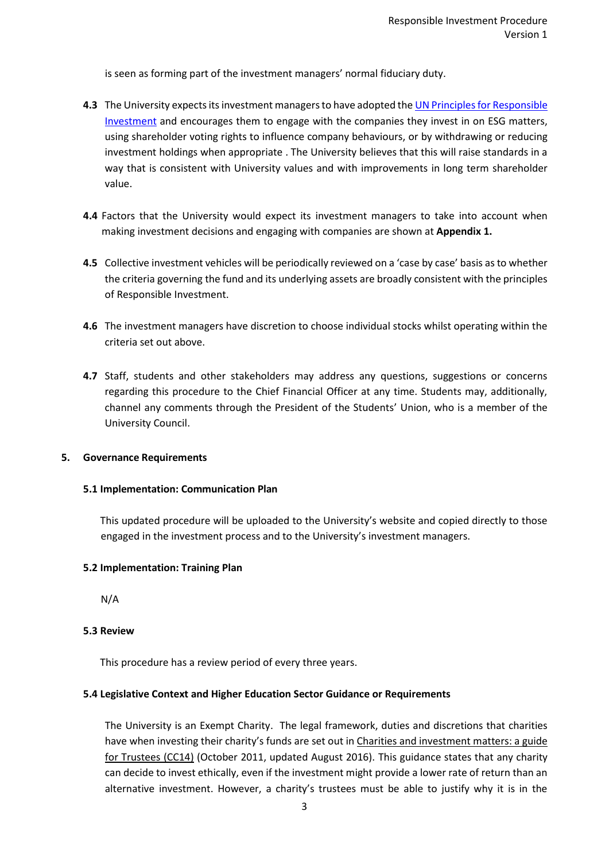is seen as forming part of the investment managers' normal fiduciary duty.

- **4.3** The University expects its investment managers to have adopted th[e UN Principles for Responsible](https://www.unpri.org/about-us/what-are-the-principles-for-responsible-investment)  [Investment](https://www.unpri.org/about-us/what-are-the-principles-for-responsible-investment) and encourages them to engage with the companies they invest in on ESG matters, using shareholder voting rights to influence company behaviours, or by withdrawing or reducing investment holdings when appropriate . The University believes that this will raise standards in a way that is consistent with University values and with improvements in long term shareholder value.
- **4.4** Factors that the University would expect its investment managers to take into account when making investment decisions and engaging with companies are shown at **Appendix 1.**
- **4.5** Collective investment vehicles will be periodically reviewed on a 'case by case' basis as to whether the criteria governing the fund and its underlying assets are broadly consistent with the principles of Responsible Investment.
- **4.6** The investment managers have discretion to choose individual stocks whilst operating within the criteria set out above.
- **4.7** Staff, students and other stakeholders may address any questions, suggestions or concerns regarding this procedure to the Chief Financial Officer at any time. Students may, additionally, channel any comments through the President of the Students' Union, who is a member of the University Council.

#### **5. Governance Requirements**

#### **5.1 Implementation: Communication Plan**

This updated procedure will be uploaded to the University's website and copied directly to those engaged in the investment process and to the University's investment managers.

#### **5.2 Implementation: Training Plan**

N/A

### **5.3 Review**

This procedure has a review period of every three years.

#### **5.4 Legislative Context and Higher Education Sector Guidance or Requirements**

The University is an Exempt Charity. The legal framework, duties and discretions that charities have when investing their charity's funds are set out in Charities and investment matters: a guide [for Trustees \(CC14\)](https://www.gov.uk/government/publications/charities-and-investment-matters-a-guide-for-trustees-cc14) (October 2011, updated August 2016). This guidance states that any charity can decide to invest ethically, even if the investment might provide a lower rate of return than an alternative investment. However, a charity's trustees must be able to justify why it is in the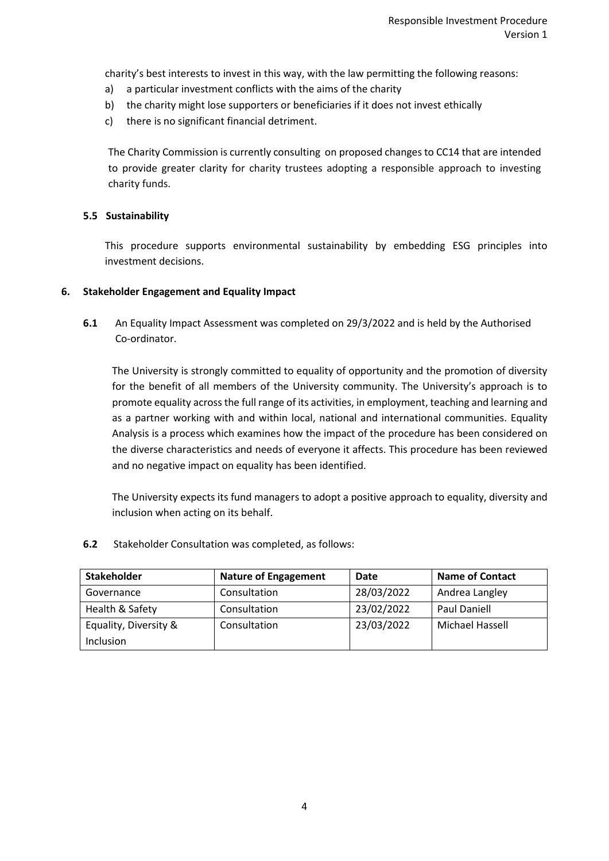charity's best interests to invest in this way, with the law permitting the following reasons:

- a) a particular investment conflicts with the aims of the charity
- b) the charity might lose supporters or beneficiaries if it does not invest ethically
- c) there is no significant financial detriment.

The Charity Commission is currently consulting on proposed changes to CC14 that are intended to provide greater clarity for charity trustees adopting a responsible approach to investing charity funds.

#### **5.5 Sustainability**

This procedure supports environmental sustainability by embedding ESG principles into investment decisions.

#### **6. Stakeholder Engagement and Equality Impact**

**6.1** An Equality Impact Assessment was completed on 29/3/2022 and is held by the Authorised Co-ordinator.

The University is strongly committed to equality of opportunity and the promotion of diversity for the benefit of all members of the University community. The University's approach is to promote equality across the full range of its activities, in employment, teaching and learning and as a partner working with and within local, national and international communities. Equality Analysis is a process which examines how the impact of the procedure has been considered on the diverse characteristics and needs of everyone it affects. This procedure has been reviewed and no negative impact on equality has been identified.

The University expects its fund managers to adopt a positive approach to equality, diversity and inclusion when acting on its behalf.

**6.2** Stakeholder Consultation was completed, as follows:

| <b>Stakeholder</b>    | <b>Nature of Engagement</b> | Date       | <b>Name of Contact</b> |  |
|-----------------------|-----------------------------|------------|------------------------|--|
| Governance            | Consultation                | 28/03/2022 | Andrea Langley         |  |
| Health & Safety       | Consultation                | 23/02/2022 | Paul Daniell           |  |
| Equality, Diversity & | Consultation                | 23/03/2022 | Michael Hassell        |  |
| Inclusion             |                             |            |                        |  |